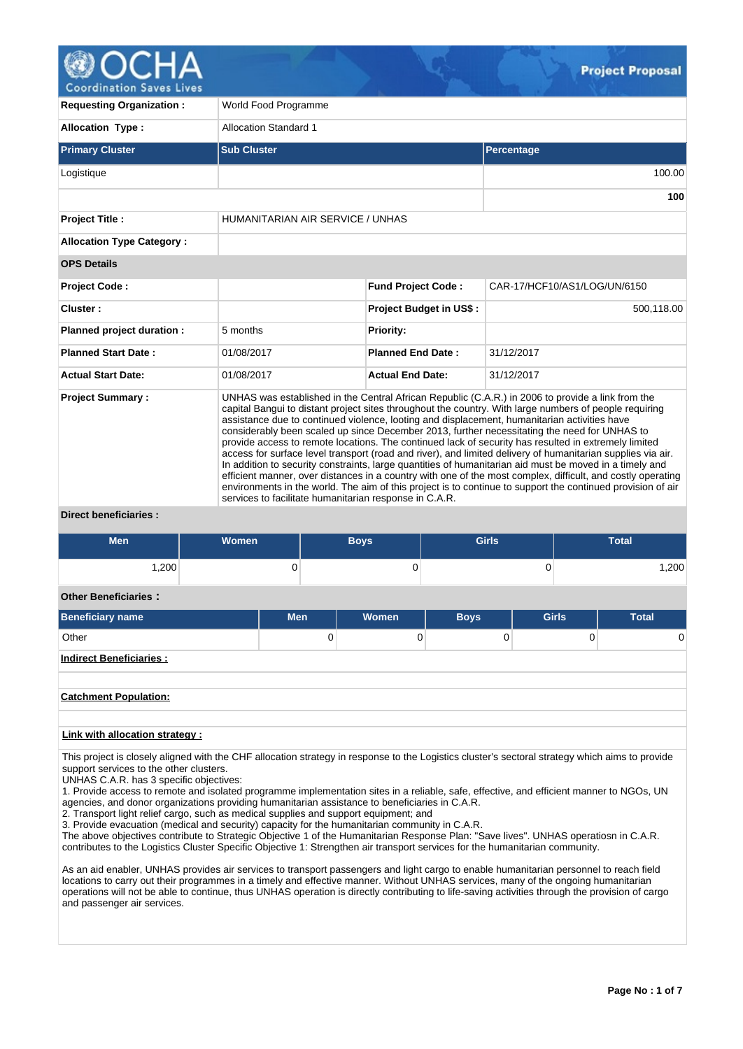

| <b>Requesting Organization:</b>                                                                                                                                                                                                                                                                                                                                                                                                                                                                                                                                                                                                                                                                                                                                                                                                                                                                                                                                                                                                                                                            | World Food Programme             |                                |                              |  |  |  |  |
|--------------------------------------------------------------------------------------------------------------------------------------------------------------------------------------------------------------------------------------------------------------------------------------------------------------------------------------------------------------------------------------------------------------------------------------------------------------------------------------------------------------------------------------------------------------------------------------------------------------------------------------------------------------------------------------------------------------------------------------------------------------------------------------------------------------------------------------------------------------------------------------------------------------------------------------------------------------------------------------------------------------------------------------------------------------------------------------------|----------------------------------|--------------------------------|------------------------------|--|--|--|--|
| <b>Allocation Type:</b>                                                                                                                                                                                                                                                                                                                                                                                                                                                                                                                                                                                                                                                                                                                                                                                                                                                                                                                                                                                                                                                                    | <b>Allocation Standard 1</b>     |                                |                              |  |  |  |  |
| <b>Primary Cluster</b>                                                                                                                                                                                                                                                                                                                                                                                                                                                                                                                                                                                                                                                                                                                                                                                                                                                                                                                                                                                                                                                                     | <b>Sub Cluster</b>               |                                | Percentage                   |  |  |  |  |
| Logistique                                                                                                                                                                                                                                                                                                                                                                                                                                                                                                                                                                                                                                                                                                                                                                                                                                                                                                                                                                                                                                                                                 |                                  |                                | 100.00                       |  |  |  |  |
|                                                                                                                                                                                                                                                                                                                                                                                                                                                                                                                                                                                                                                                                                                                                                                                                                                                                                                                                                                                                                                                                                            |                                  |                                | 100                          |  |  |  |  |
| <b>Project Title:</b>                                                                                                                                                                                                                                                                                                                                                                                                                                                                                                                                                                                                                                                                                                                                                                                                                                                                                                                                                                                                                                                                      | HUMANITARIAN AIR SERVICE / UNHAS |                                |                              |  |  |  |  |
| <b>Allocation Type Category:</b>                                                                                                                                                                                                                                                                                                                                                                                                                                                                                                                                                                                                                                                                                                                                                                                                                                                                                                                                                                                                                                                           |                                  |                                |                              |  |  |  |  |
| <b>OPS Details</b>                                                                                                                                                                                                                                                                                                                                                                                                                                                                                                                                                                                                                                                                                                                                                                                                                                                                                                                                                                                                                                                                         |                                  |                                |                              |  |  |  |  |
| Project Code:                                                                                                                                                                                                                                                                                                                                                                                                                                                                                                                                                                                                                                                                                                                                                                                                                                                                                                                                                                                                                                                                              |                                  | <b>Fund Project Code:</b>      | CAR-17/HCF10/AS1/LOG/UN/6150 |  |  |  |  |
| Cluster:                                                                                                                                                                                                                                                                                                                                                                                                                                                                                                                                                                                                                                                                                                                                                                                                                                                                                                                                                                                                                                                                                   |                                  | <b>Project Budget in US\$:</b> | 500,118.00                   |  |  |  |  |
| Planned project duration :                                                                                                                                                                                                                                                                                                                                                                                                                                                                                                                                                                                                                                                                                                                                                                                                                                                                                                                                                                                                                                                                 | 5 months                         | <b>Priority:</b>               |                              |  |  |  |  |
| <b>Planned Start Date:</b>                                                                                                                                                                                                                                                                                                                                                                                                                                                                                                                                                                                                                                                                                                                                                                                                                                                                                                                                                                                                                                                                 | 01/08/2017                       | <b>Planned End Date:</b>       | 31/12/2017                   |  |  |  |  |
| <b>Actual Start Date:</b>                                                                                                                                                                                                                                                                                                                                                                                                                                                                                                                                                                                                                                                                                                                                                                                                                                                                                                                                                                                                                                                                  | 01/08/2017                       | <b>Actual End Date:</b>        | 31/12/2017                   |  |  |  |  |
| <b>Project Summary:</b><br>UNHAS was established in the Central African Republic (C.A.R.) in 2006 to provide a link from the<br>capital Bangui to distant project sites throughout the country. With large numbers of people requiring<br>assistance due to continued violence, looting and displacement, humanitarian activities have<br>considerably been scaled up since December 2013, further necessitating the need for UNHAS to<br>provide access to remote locations. The continued lack of security has resulted in extremely limited<br>access for surface level transport (road and river), and limited delivery of humanitarian supplies via air.<br>In addition to security constraints, large quantities of humanitarian aid must be moved in a timely and<br>efficient manner, over distances in a country with one of the most complex, difficult, and costly operating<br>environments in the world. The aim of this project is to continue to support the continued provision of air<br>services to facilitate humanitarian response in C.A.R.<br>Diroct bonoficiarios : |                                  |                                |                              |  |  |  |  |

**Direct beneficiaries :**

| <b>Men</b> | <b>Women</b> | Boys | <b>Girls</b> | <b>Total</b> |
|------------|--------------|------|--------------|--------------|
| √200.،     |              | ັ    | ື            | ,200         |

## **Other Beneficiaries :**

| <b>Beneficiary name</b>         | <b>Men</b> | Women | <b>Boys</b> | <b>Girls</b> | <b>Total</b> |  |  |  |
|---------------------------------|------------|-------|-------------|--------------|--------------|--|--|--|
| Other                           | 0          |       |             | O.           | 0            |  |  |  |
| <b>Indirect Beneficiaries:</b>  |            |       |             |              |              |  |  |  |
|                                 |            |       |             |              |              |  |  |  |
| <b>Catchment Population:</b>    |            |       |             |              |              |  |  |  |
|                                 |            |       |             |              |              |  |  |  |
| Link with allocation strategy : |            |       |             |              |              |  |  |  |

This project is closely aligned with the CHF allocation strategy in response to the Logistics cluster's sectoral strategy which aims to provide support services to the other clusters.

UNHAS C.A.R. has 3 specific objectives:

1. Provide access to remote and isolated programme implementation sites in a reliable, safe, effective, and efficient manner to NGOs, UN agencies, and donor organizations providing humanitarian assistance to beneficiaries in C.A.R.

2. Transport light relief cargo, such as medical supplies and support equipment; and

3. Provide evacuation (medical and security) capacity for the humanitarian community in C.A.R.

The above objectives contribute to Strategic Objective 1 of the Humanitarian Response Plan: "Save lives". UNHAS operatiosn in C.A.R. contributes to the Logistics Cluster Specific Objective 1: Strengthen air transport services for the humanitarian community.

As an aid enabler, UNHAS provides air services to transport passengers and light cargo to enable humanitarian personnel to reach field locations to carry out their programmes in a timely and effective manner. Without UNHAS services, many of the ongoing humanitarian operations will not be able to continue, thus UNHAS operation is directly contributing to life-saving activities through the provision of cargo and passenger air services.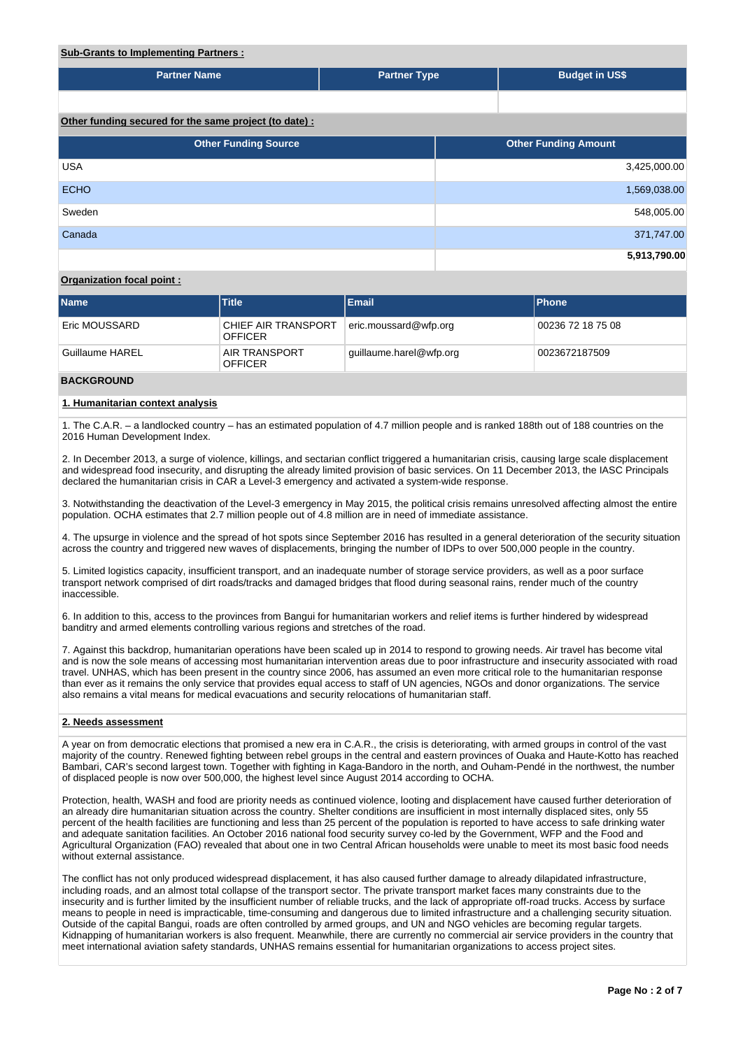# **Sub-Grants to Implementing Partners :**

| <u>ouw oranic to impromonting railwrold</u>           |                     |  |                             |
|-------------------------------------------------------|---------------------|--|-----------------------------|
| <b>Partner Name</b>                                   | <b>Partner Type</b> |  | <b>Budget in US\$</b>       |
|                                                       |                     |  |                             |
| Other funding secured for the same project (to date): |                     |  |                             |
| <b>Other Funding Source</b>                           |                     |  | <b>Other Funding Amount</b> |
| <b>USA</b>                                            |                     |  | 3,425,000.00                |
| <b>ECHO</b>                                           |                     |  | 1,569,038.00                |
| Sweden                                                |                     |  | 548,005.00                  |
| Canada                                                |                     |  | 371,747.00                  |
|                                                       |                     |  | 5,913,790.00                |

# **Organization focal point :**

| <b>Name</b>          | <b>Title</b>                           | Email                   | <b>IPhone</b>     |
|----------------------|----------------------------------------|-------------------------|-------------------|
| <b>Eric MOUSSARD</b> | CHIEF AIR TRANSPORT<br><b>OFFICER</b>  | eric.moussard@wfp.org   | 00236 72 18 75 08 |
| Guillaume HAREL      | <b>AIR TRANSPORT</b><br><b>OFFICER</b> | quillaume.harel@wfp.org | 0023672187509     |

## **BACKGROUND**

## **1. Humanitarian context analysis**

1. The C.A.R. – a landlocked country – has an estimated population of 4.7 million people and is ranked 188th out of 188 countries on the 2016 Human Development Index.

2. In December 2013, a surge of violence, killings, and sectarian conflict triggered a humanitarian crisis, causing large scale displacement and widespread food insecurity, and disrupting the already limited provision of basic services. On 11 December 2013, the IASC Principals declared the humanitarian crisis in CAR a Level-3 emergency and activated a system-wide response.

3. Notwithstanding the deactivation of the Level-3 emergency in May 2015, the political crisis remains unresolved affecting almost the entire population. OCHA estimates that 2.7 million people out of 4.8 million are in need of immediate assistance.

4. The upsurge in violence and the spread of hot spots since September 2016 has resulted in a general deterioration of the security situation across the country and triggered new waves of displacements, bringing the number of IDPs to over 500,000 people in the country.

5. Limited logistics capacity, insufficient transport, and an inadequate number of storage service providers, as well as a poor surface transport network comprised of dirt roads/tracks and damaged bridges that flood during seasonal rains, render much of the country inaccessible.

6. In addition to this, access to the provinces from Bangui for humanitarian workers and relief items is further hindered by widespread banditry and armed elements controlling various regions and stretches of the road.

7. Against this backdrop, humanitarian operations have been scaled up in 2014 to respond to growing needs. Air travel has become vital and is now the sole means of accessing most humanitarian intervention areas due to poor infrastructure and insecurity associated with road travel. UNHAS, which has been present in the country since 2006, has assumed an even more critical role to the humanitarian response than ever as it remains the only service that provides equal access to staff of UN agencies, NGOs and donor organizations. The service also remains a vital means for medical evacuations and security relocations of humanitarian staff.

### **2. Needs assessment**

A year on from democratic elections that promised a new era in C.A.R., the crisis is deteriorating, with armed groups in control of the vast majority of the country. Renewed fighting between rebel groups in the central and eastern provinces of Ouaka and Haute-Kotto has reached Bambari, CAR's second largest town. Together with fighting in Kaga-Bandoro in the north, and Ouham-Pendé in the northwest, the number of displaced people is now over 500,000, the highest level since August 2014 according to OCHA.

Protection, health, WASH and food are priority needs as continued violence, looting and displacement have caused further deterioration of an already dire humanitarian situation across the country. Shelter conditions are insufficient in most internally displaced sites, only 55 percent of the health facilities are functioning and less than 25 percent of the population is reported to have access to safe drinking water and adequate sanitation facilities. An October 2016 national food security survey co-led by the Government, WFP and the Food and Agricultural Organization (FAO) revealed that about one in two Central African households were unable to meet its most basic food needs without external assistance.

The conflict has not only produced widespread displacement, it has also caused further damage to already dilapidated infrastructure, including roads, and an almost total collapse of the transport sector. The private transport market faces many constraints due to the insecurity and is further limited by the insufficient number of reliable trucks, and the lack of appropriate off-road trucks. Access by surface means to people in need is impracticable, time-consuming and dangerous due to limited infrastructure and a challenging security situation. Outside of the capital Bangui, roads are often controlled by armed groups, and UN and NGO vehicles are becoming regular targets. Kidnapping of humanitarian workers is also frequent. Meanwhile, there are currently no commercial air service providers in the country that meet international aviation safety standards, UNHAS remains essential for humanitarian organizations to access project sites.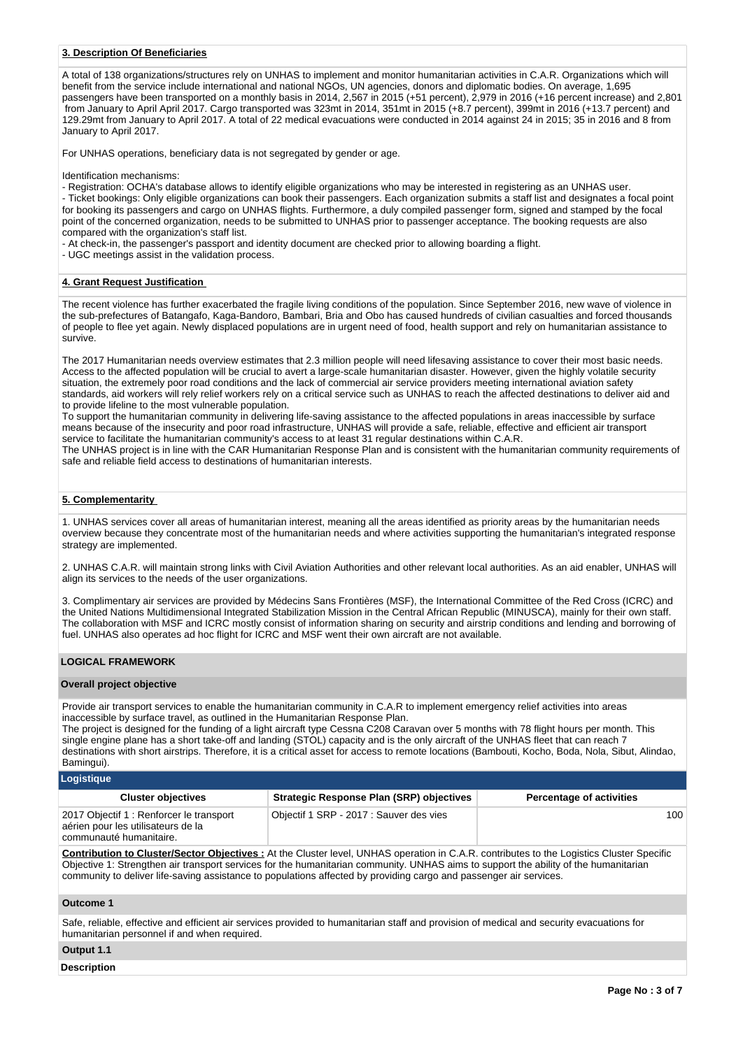## **3. Description Of Beneficiaries**

A total of 138 organizations/structures rely on UNHAS to implement and monitor humanitarian activities in C.A.R. Organizations which will benefit from the service include international and national NGOs, UN agencies, donors and diplomatic bodies. On average, 1,695 passengers have been transported on a monthly basis in 2014, 2,567 in 2015 (+51 percent), 2,979 in 2016 (+16 percent increase) and 2,801 from January to April April 2017. Cargo transported was 323mt in 2014, 351mt in 2015 (+8.7 percent), 399mt in 2016 (+13.7 percent) and 129.29mt from January to April 2017. A total of 22 medical evacuations were conducted in 2014 against 24 in 2015; 35 in 2016 and 8 from January to April 2017.

For UNHAS operations, beneficiary data is not segregated by gender or age.

Identification mechanisms:

- Registration: OCHA's database allows to identify eligible organizations who may be interested in registering as an UNHAS user. - Ticket bookings: Only eligible organizations can book their passengers. Each organization submits a staff list and designates a focal point for booking its passengers and cargo on UNHAS flights. Furthermore, a duly compiled passenger form, signed and stamped by the focal point of the concerned organization, needs to be submitted to UNHAS prior to passenger acceptance. The booking requests are also compared with the organization's staff list.

- At check-in, the passenger's passport and identity document are checked prior to allowing boarding a flight.

- UGC meetings assist in the validation process.

### **4. Grant Request Justification**

The recent violence has further exacerbated the fragile living conditions of the population. Since September 2016, new wave of violence in the sub-prefectures of Batangafo, Kaga-Bandoro, Bambari, Bria and Obo has caused hundreds of civilian casualties and forced thousands of people to flee yet again. Newly displaced populations are in urgent need of food, health support and rely on humanitarian assistance to survive.

The 2017 Humanitarian needs overview estimates that 2.3 million people will need lifesaving assistance to cover their most basic needs. Access to the affected population will be crucial to avert a large-scale humanitarian disaster. However, given the highly volatile security situation, the extremely poor road conditions and the lack of commercial air service providers meeting international aviation safety standards, aid workers will rely relief workers rely on a critical service such as UNHAS to reach the affected destinations to deliver aid and to provide lifeline to the most vulnerable population.

To support the humanitarian community in delivering life-saving assistance to the affected populations in areas inaccessible by surface means because of the insecurity and poor road infrastructure, UNHAS will provide a safe, reliable, effective and efficient air transport service to facilitate the humanitarian community's access to at least 31 regular destinations within C.A.R.

The UNHAS project is in line with the CAR Humanitarian Response Plan and is consistent with the humanitarian community requirements of safe and reliable field access to destinations of humanitarian interests.

## **5. Complementarity**

1. UNHAS services cover all areas of humanitarian interest, meaning all the areas identified as priority areas by the humanitarian needs overview because they concentrate most of the humanitarian needs and where activities supporting the humanitarian's integrated response strategy are implemented.

2. UNHAS C.A.R. will maintain strong links with Civil Aviation Authorities and other relevant local authorities. As an aid enabler, UNHAS will align its services to the needs of the user organizations.

3. Complimentary air services are provided by Médecins Sans Frontières (MSF), the International Committee of the Red Cross (ICRC) and the United Nations Multidimensional Integrated Stabilization Mission in the Central African Republic (MINUSCA), mainly for their own staff. The collaboration with MSF and ICRC mostly consist of information sharing on security and airstrip conditions and lending and borrowing of fuel. UNHAS also operates ad hoc flight for ICRC and MSF went their own aircraft are not available.

## **LOGICAL FRAMEWORK**

#### **Overall project objective**

Provide air transport services to enable the humanitarian community in C.A.R to implement emergency relief activities into areas inaccessible by surface travel, as outlined in the Humanitarian Response Plan.

The project is designed for the funding of a light aircraft type Cessna C208 Caravan over 5 months with 78 flight hours per month. This single engine plane has a short take-off and landing (STOL) capacity and is the only aircraft of the UNHAS fleet that can reach 7 destinations with short airstrips. Therefore, it is a critical asset for access to remote locations (Bambouti, Kocho, Boda, Nola, Sibut, Alindao, Bamingui).

**Logistique**

| <b>Strategic Response Plan (SRP) objectives</b><br><b>Cluster objectives</b><br><b>Percentage of activities</b>                                      |      |
|------------------------------------------------------------------------------------------------------------------------------------------------------|------|
| 2017 Objectif 1 : Renforcer le transport<br>Objectif 1 SRP - 2017 : Sauver des vies<br>aérien pour les utilisateurs de la<br>communauté humanitaire. | 100- |

**Contribution to Cluster/Sector Objectives :** At the Cluster level, UNHAS operation in C.A.R. contributes to the Logistics Cluster Specific Objective 1: Strengthen air transport services for the humanitarian community. UNHAS aims to support the ability of the humanitarian community to deliver life-saving assistance to populations affected by providing cargo and passenger air services.

## **Outcome 1**

Safe, reliable, effective and efficient air services provided to humanitarian staff and provision of medical and security evacuations for humanitarian personnel if and when required.

**Output 1.1**

#### **Description**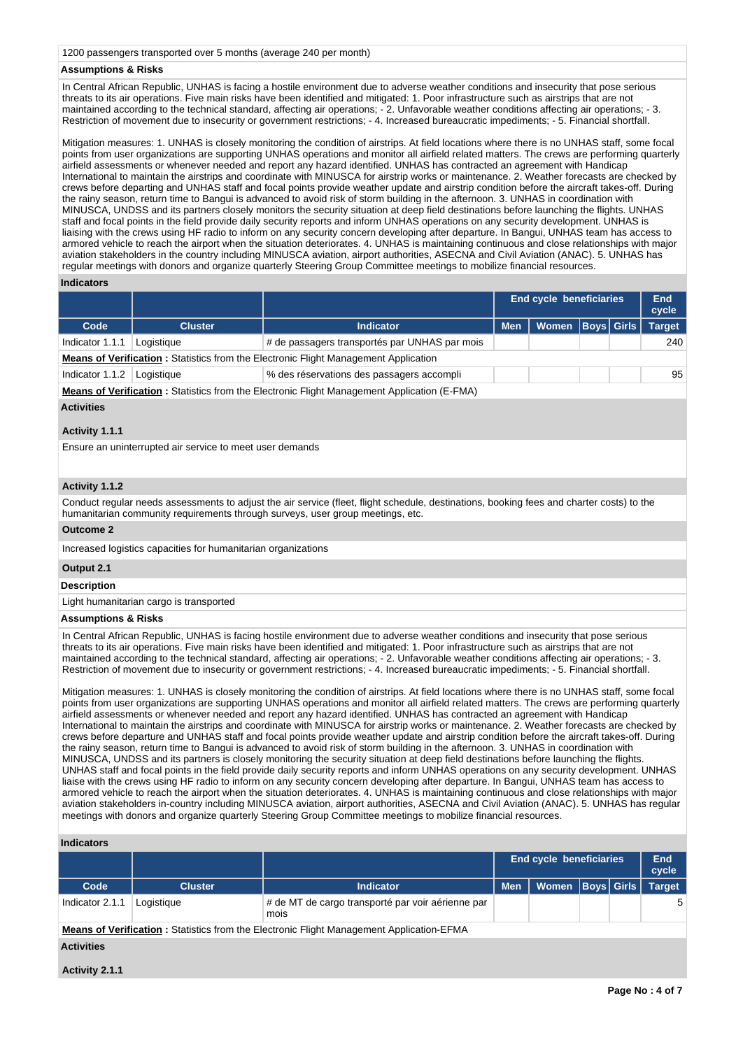1200 passengers transported over 5 months (average 240 per month)

## **Assumptions & Risks**

In Central African Republic, UNHAS is facing a hostile environment due to adverse weather conditions and insecurity that pose serious threats to its air operations. Five main risks have been identified and mitigated: 1. Poor infrastructure such as airstrips that are not maintained according to the technical standard, affecting air operations; - 2. Unfavorable weather conditions affecting air operations; - 3. Restriction of movement due to insecurity or government restrictions; - 4. Increased bureaucratic impediments; - 5. Financial shortfall.

Mitigation measures: 1. UNHAS is closely monitoring the condition of airstrips. At field locations where there is no UNHAS staff, some focal points from user organizations are supporting UNHAS operations and monitor all airfield related matters. The crews are performing quarterly airfield assessments or whenever needed and report any hazard identified. UNHAS has contracted an agreement with Handicap International to maintain the airstrips and coordinate with MINUSCA for airstrip works or maintenance. 2. Weather forecasts are checked by crews before departing and UNHAS staff and focal points provide weather update and airstrip condition before the aircraft takes-off. During the rainy season, return time to Bangui is advanced to avoid risk of storm building in the afternoon. 3. UNHAS in coordination with MINUSCA, UNDSS and its partners closely monitors the security situation at deep field destinations before launching the flights. UNHAS staff and focal points in the field provide daily security reports and inform UNHAS operations on any security development. UNHAS is liaising with the crews using HF radio to inform on any security concern developing after departure. In Bangui, UNHAS team has access to armored vehicle to reach the airport when the situation deteriorates. 4. UNHAS is maintaining continuous and close relationships with major aviation stakeholders in the country including MINUSCA aviation, airport authorities, ASECNA and Civil Aviation (ANAC). 5. UNHAS has regular meetings with donors and organize quarterly Steering Group Committee meetings to mobilize financial resources.

#### **Indicators**

|                                                                                                    |                                                                                            |                                               | End cycle beneficiaries |                      | End<br>cycle |  |               |  |  |
|----------------------------------------------------------------------------------------------------|--------------------------------------------------------------------------------------------|-----------------------------------------------|-------------------------|----------------------|--------------|--|---------------|--|--|
| Code                                                                                               | <b>Cluster</b>                                                                             | Indicator                                     | <b>Men</b>              | Women   Boys   Girls |              |  | <b>Target</b> |  |  |
| Indicator 1.1.1                                                                                    | Logistique                                                                                 | # de passagers transportés par UNHAS par mois |                         |                      |              |  | 240           |  |  |
|                                                                                                    | <b>Means of Verification:</b> Statistics from the Electronic Flight Management Application |                                               |                         |                      |              |  |               |  |  |
| Indicator 1.1.2                                                                                    | Logistique                                                                                 | % des réservations des passagers accompli     |                         |                      |              |  | 95            |  |  |
| <b>Means of Verification:</b> Statistics from the Electronic Flight Management Application (E-FMA) |                                                                                            |                                               |                         |                      |              |  |               |  |  |

## **Activities**

## **Activity 1.1.1**

Ensure an uninterrupted air service to meet user demands

# **Activity 1.1.2**

Conduct regular needs assessments to adjust the air service (fleet, flight schedule, destinations, booking fees and charter costs) to the humanitarian community requirements through surveys, user group meetings, etc.

#### **Outcome 2**

Increased logistics capacities for humanitarian organizations

# **Output 2.1**

**Description**

Light humanitarian cargo is transported

## **Assumptions & Risks**

In Central African Republic, UNHAS is facing hostile environment due to adverse weather conditions and insecurity that pose serious threats to its air operations. Five main risks have been identified and mitigated: 1. Poor infrastructure such as airstrips that are not maintained according to the technical standard, affecting air operations; - 2. Unfavorable weather conditions affecting air operations; - 3. Restriction of movement due to insecurity or government restrictions; - 4. Increased bureaucratic impediments; - 5. Financial shortfall.

Mitigation measures: 1. UNHAS is closely monitoring the condition of airstrips. At field locations where there is no UNHAS staff, some focal points from user organizations are supporting UNHAS operations and monitor all airfield related matters. The crews are performing quarterly airfield assessments or whenever needed and report any hazard identified. UNHAS has contracted an agreement with Handicap International to maintain the airstrips and coordinate with MINUSCA for airstrip works or maintenance. 2. Weather forecasts are checked by crews before departure and UNHAS staff and focal points provide weather update and airstrip condition before the aircraft takes-off. During the rainy season, return time to Bangui is advanced to avoid risk of storm building in the afternoon. 3. UNHAS in coordination with MINUSCA, UNDSS and its partners is closely monitoring the security situation at deep field destinations before launching the flights. UNHAS staff and focal points in the field provide daily security reports and inform UNHAS operations on any security development. UNHAS liaise with the crews using HF radio to inform on any security concern developing after departure. In Bangui, UNHAS team has access to armored vehicle to reach the airport when the situation deteriorates. 4. UNHAS is maintaining continuous and close relationships with major aviation stakeholders in-country including MINUSCA aviation, airport authorities, ASECNA and Civil Aviation (ANAC). 5. UNHAS has regular meetings with donors and organize quarterly Steering Group Committee meetings to mobilize financial resources.

#### **Indicators**

|                                                                                                 |                |                                                           | <b>End cycle beneficiaries</b> |                      |  | End<br>cycle |               |
|-------------------------------------------------------------------------------------------------|----------------|-----------------------------------------------------------|--------------------------------|----------------------|--|--------------|---------------|
| Code                                                                                            | <b>Cluster</b> | <b>Indicator</b>                                          | <b>Men</b>                     | Women   Boys   Girls |  |              | <b>Target</b> |
| Indicator 2.1.1                                                                                 | Logistique     | # de MT de cargo transporté par voir aérienne par<br>mois |                                |                      |  |              | 5             |
| <b>Means of Verification:</b> Statistics from the Electronic Flight Management Application-EFMA |                |                                                           |                                |                      |  |              |               |

## **Activities**

**Activity 2.1.1**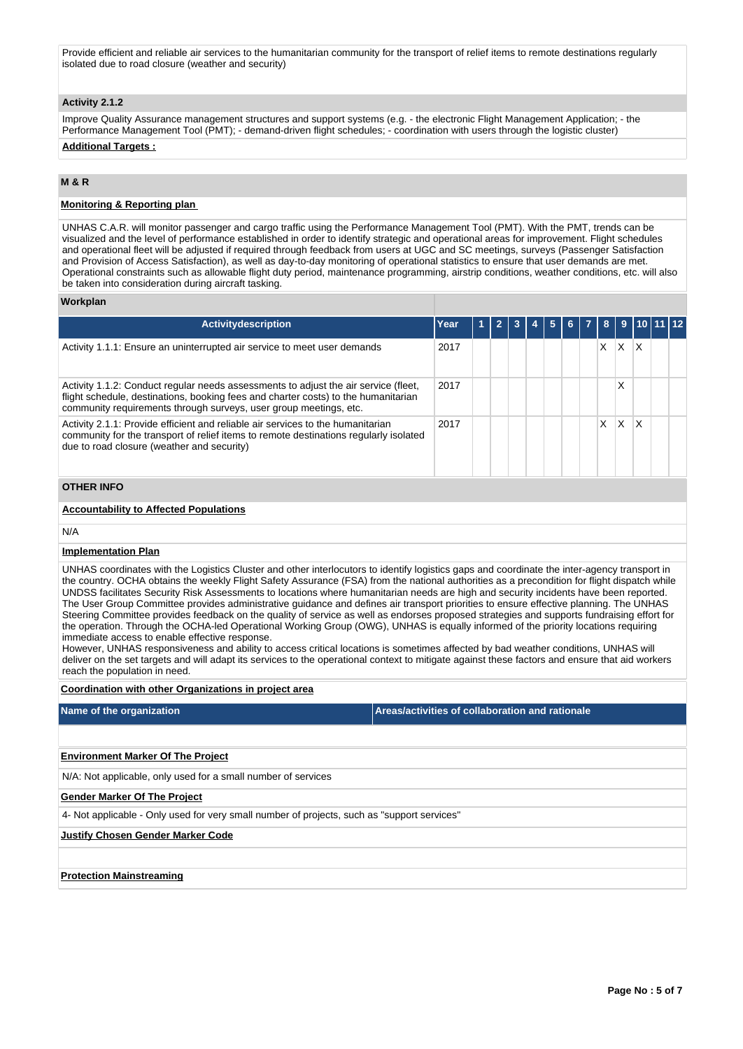Provide efficient and reliable air services to the humanitarian community for the transport of relief items to remote destinations regularly isolated due to road closure (weather and security)

# **Activity 2.1.2**

Improve Quality Assurance management structures and support systems (e.g. - the electronic Flight Management Application; - the Performance Management Tool (PMT); - demand-driven flight schedules; - coordination with users through the logistic cluster)

# **Additional Targets :**

## **M & R**

## **Monitoring & Reporting plan**

UNHAS C.A.R. will monitor passenger and cargo traffic using the Performance Management Tool (PMT). With the PMT, trends can be visualized and the level of performance established in order to identify strategic and operational areas for improvement. Flight schedules and operational fleet will be adjusted if required through feedback from users at UGC and SC meetings, surveys (Passenger Satisfaction and Provision of Access Satisfaction), as well as day-to-day monitoring of operational statistics to ensure that user demands are met. Operational constraints such as allowable flight duty period, maintenance programming, airstrip conditions, weather conditions, etc. will also be taken into consideration during aircraft tasking.

### **Workplan**

| <b>Activitydescription</b>                                                                                                                                                                                                                     | Year |  |  |  |  |  |  | 8 | 9  | 10 |  |
|------------------------------------------------------------------------------------------------------------------------------------------------------------------------------------------------------------------------------------------------|------|--|--|--|--|--|--|---|----|----|--|
| Activity 1.1.1: Ensure an uninterrupted air service to meet user demands                                                                                                                                                                       | 2017 |  |  |  |  |  |  | X | X. | ΙX |  |
| Activity 1.1.2: Conduct regular needs assessments to adjust the air service (fleet,<br>flight schedule, destinations, booking fees and charter costs) to the humanitarian<br>community requirements through surveys, user group meetings, etc. | 2017 |  |  |  |  |  |  |   | х  |    |  |
| Activity 2.1.1: Provide efficient and reliable air services to the humanitarian<br>community for the transport of relief items to remote destinations regularly isolated<br>due to road closure (weather and security)                         | 2017 |  |  |  |  |  |  | X | X. | X  |  |
| <b>OTHER INFO</b>                                                                                                                                                                                                                              |      |  |  |  |  |  |  |   |    |    |  |
| <b>Accountability to Affected Populations</b>                                                                                                                                                                                                  |      |  |  |  |  |  |  |   |    |    |  |
| N/A                                                                                                                                                                                                                                            |      |  |  |  |  |  |  |   |    |    |  |
| <b>Implementation Plan</b>                                                                                                                                                                                                                     |      |  |  |  |  |  |  |   |    |    |  |
| UNHAS coordinates with the Logistics Cluster and other interlegators to identify logistics gans and coordinate the inter agonsy transport in                                                                                                   |      |  |  |  |  |  |  |   |    |    |  |

UNHAS coordinates with the Logistics Cluster and other interlocutors to identify logistics gaps and coordinate the inter-agency transport in the country. OCHA obtains the weekly Flight Safety Assurance (FSA) from the national authorities as a precondition for flight dispatch while UNDSS facilitates Security Risk Assessments to locations where humanitarian needs are high and security incidents have been reported. The User Group Committee provides administrative guidance and defines air transport priorities to ensure effective planning. The UNHAS Steering Committee provides feedback on the quality of service as well as endorses proposed strategies and supports fundraising effort for the operation. Through the OCHA-led Operational Working Group (OWG), UNHAS is equally informed of the priority locations requiring immediate access to enable effective response.

However, UNHAS responsiveness and ability to access critical locations is sometimes affected by bad weather conditions, UNHAS will deliver on the set targets and will adapt its services to the operational context to mitigate against these factors and ensure that aid workers reach the population in need.

## **Coordination with other Organizations in project area**

| Name of the organization                                                                    | Areas/activities of collaboration and rationale |  |  |  |  |  |
|---------------------------------------------------------------------------------------------|-------------------------------------------------|--|--|--|--|--|
|                                                                                             |                                                 |  |  |  |  |  |
| <b>Environment Marker Of The Project</b>                                                    |                                                 |  |  |  |  |  |
| N/A: Not applicable, only used for a small number of services                               |                                                 |  |  |  |  |  |
| <b>Gender Marker Of The Project</b>                                                         |                                                 |  |  |  |  |  |
| 4- Not applicable - Only used for very small number of projects, such as "support services" |                                                 |  |  |  |  |  |
| <b>Justify Chosen Gender Marker Code</b>                                                    |                                                 |  |  |  |  |  |
|                                                                                             |                                                 |  |  |  |  |  |
| <b>Protection Mainstreaming</b>                                                             |                                                 |  |  |  |  |  |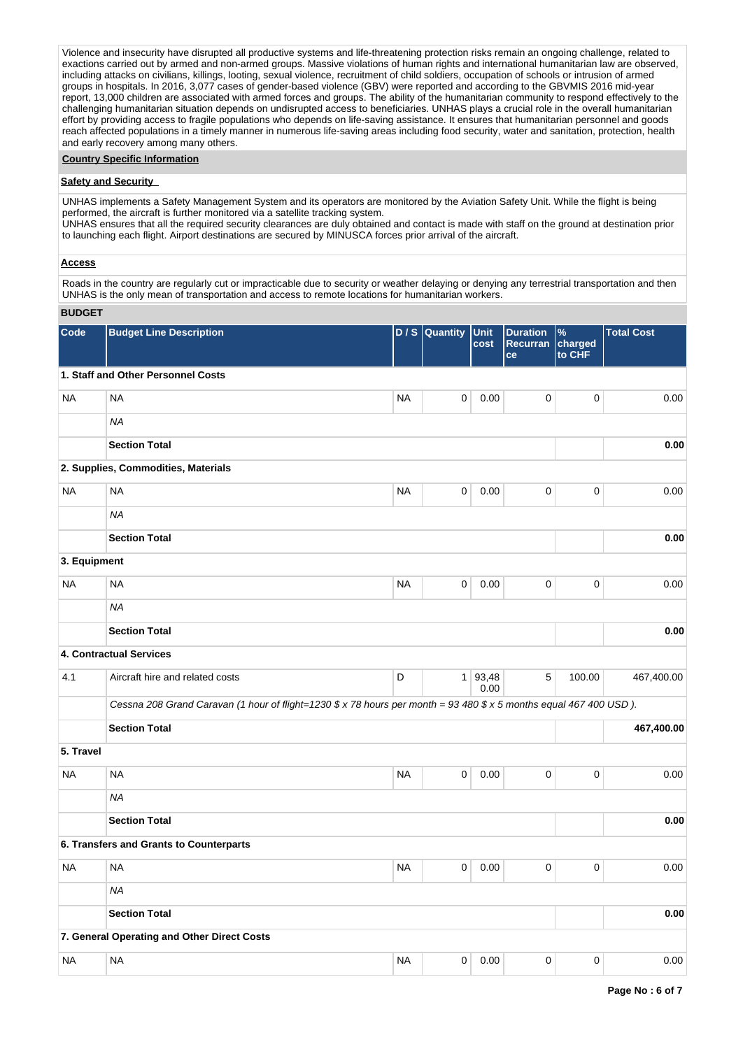Violence and insecurity have disrupted all productive systems and life-threatening protection risks remain an ongoing challenge, related to exactions carried out by armed and non-armed groups. Massive violations of human rights and international humanitarian law are observed, including attacks on civilians, killings, looting, sexual violence, recruitment of child soldiers, occupation of schools or intrusion of armed groups in hospitals. In 2016, 3,077 cases of gender-based violence (GBV) were reported and according to the GBVMIS 2016 mid-year report, 13,000 children are associated with armed forces and groups. The ability of the humanitarian community to respond effectively to the challenging humanitarian situation depends on undisrupted access to beneficiaries. UNHAS plays a crucial role in the overall humanitarian effort by providing access to fragile populations who depends on life-saving assistance. It ensures that humanitarian personnel and goods reach affected populations in a timely manner in numerous life-saving areas including food security, water and sanitation, protection, health and early recovery among many others.

## **Country Specific Information**

### **Safety and Security**

UNHAS implements a Safety Management System and its operators are monitored by the Aviation Safety Unit. While the flight is being performed, the aircraft is further monitored via a satellite tracking system.

UNHAS ensures that all the required security clearances are duly obtained and contact is made with staff on the ground at destination prior to launching each flight. Airport destinations are secured by MINUSCA forces prior arrival of the aircraft.

## **Access**

Roads in the country are regularly cut or impracticable due to security or weather delaying or denying any terrestrial transportation and then UNHAS is the only mean of transportation and access to remote locations for humanitarian workers.

## **BUDGET**

| Code         | <b>Budget Line Description</b>                                                                                     | D/S       | Quantity    | Unit<br>cost      | <b>Duration</b><br><b>Recurran</b><br>ce | $\%$<br>charged<br>to CHF | <b>Total Cost</b> |
|--------------|--------------------------------------------------------------------------------------------------------------------|-----------|-------------|-------------------|------------------------------------------|---------------------------|-------------------|
|              | 1. Staff and Other Personnel Costs                                                                                 |           |             |                   |                                          |                           |                   |
| <b>NA</b>    | <b>NA</b>                                                                                                          | <b>NA</b> | 0           | 0.00              | 0                                        | $\mathbf 0$               | 0.00              |
|              | <b>NA</b>                                                                                                          |           |             |                   |                                          |                           |                   |
|              | <b>Section Total</b>                                                                                               |           |             |                   |                                          |                           | 0.00              |
|              | 2. Supplies, Commodities, Materials                                                                                |           |             |                   |                                          |                           |                   |
| <b>NA</b>    | <b>NA</b>                                                                                                          | <b>NA</b> | 0           | 0.00              | $\pmb{0}$                                | 0                         | 0.00              |
|              | <b>NA</b>                                                                                                          |           |             |                   |                                          |                           |                   |
|              | <b>Section Total</b>                                                                                               |           |             |                   |                                          |                           | 0.00              |
| 3. Equipment |                                                                                                                    |           |             |                   |                                          |                           |                   |
| <b>NA</b>    | <b>NA</b>                                                                                                          | <b>NA</b> | 0           | 0.00              | 0                                        | $\mathbf 0$               | 0.00              |
|              | <b>NA</b>                                                                                                          |           |             |                   |                                          |                           |                   |
|              | <b>Section Total</b>                                                                                               |           |             |                   |                                          |                           | 0.00              |
|              | 4. Contractual Services                                                                                            |           |             |                   |                                          |                           |                   |
| 4.1          | Aircraft hire and related costs                                                                                    | D         |             | 1   93,48<br>0.00 | 5                                        | 100.00                    | 467,400.00        |
|              | Cessna 208 Grand Caravan (1 hour of flight=1230 \$ x 78 hours per month = 93 480 \$ x 5 months equal 467 400 USD). |           |             |                   |                                          |                           |                   |
|              | <b>Section Total</b>                                                                                               |           |             |                   |                                          |                           | 467,400.00        |
| 5. Travel    |                                                                                                                    |           |             |                   |                                          |                           |                   |
| NA           | <b>NA</b>                                                                                                          | <b>NA</b> | 0           | 0.00              | 0                                        | $\mathbf 0$               | 0.00              |
|              | <b>NA</b>                                                                                                          |           |             |                   |                                          |                           |                   |
|              | <b>Section Total</b>                                                                                               |           |             |                   |                                          |                           | 0.00              |
|              | 6. Transfers and Grants to Counterparts                                                                            |           |             |                   |                                          |                           |                   |
| NA           | <b>NA</b>                                                                                                          | <b>NA</b> | 0           | 0.00              | 0                                        | $\mathbf 0$               | 0.00              |
|              | NA                                                                                                                 |           |             |                   |                                          |                           |                   |
|              | <b>Section Total</b>                                                                                               |           |             |                   |                                          |                           | 0.00              |
|              | 7. General Operating and Other Direct Costs                                                                        |           |             |                   |                                          |                           |                   |
| <b>NA</b>    | <b>NA</b>                                                                                                          | <b>NA</b> | $\mathsf 0$ | 0.00              | $\mathbf 0$                              | $\mathbf 0$               | 0.00              |